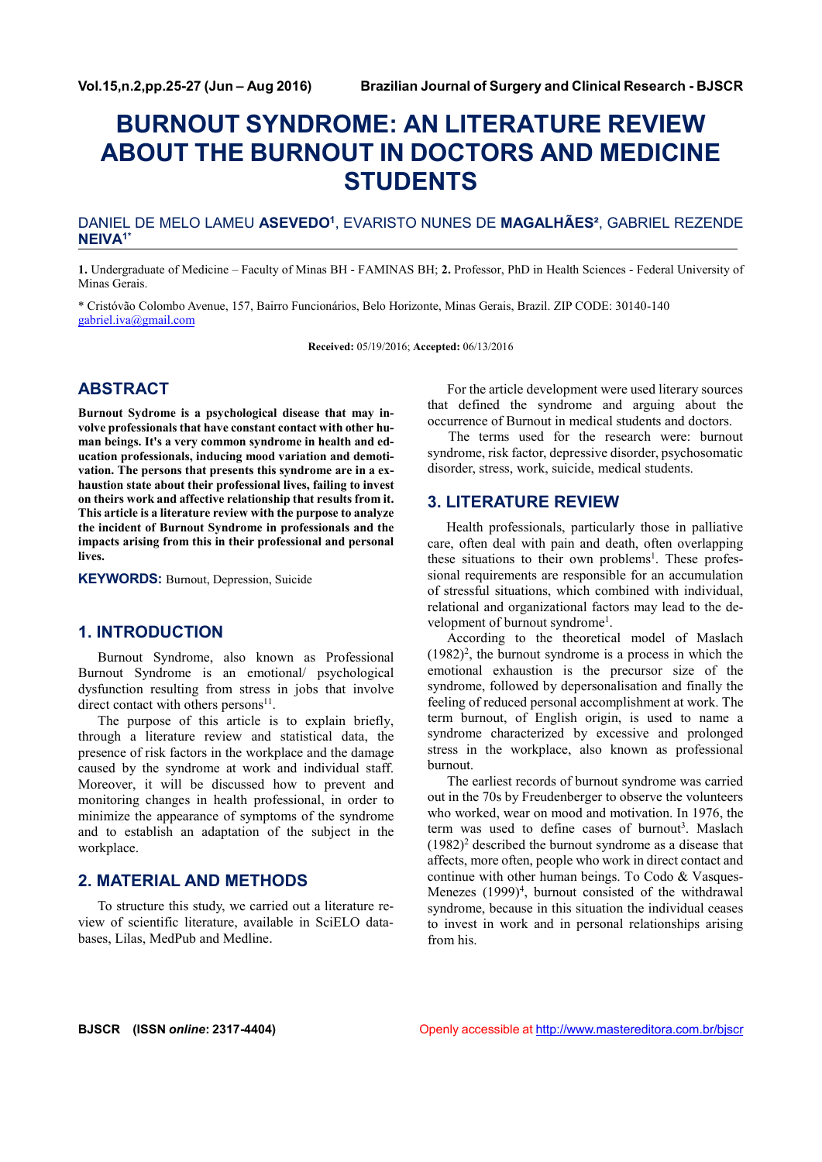# **BURNOUT SYNDROME: AN LITERATURE REVIEW ABOUT THE BURNOUT IN DOCTORS AND MEDICINE STUDENTS**

#### DANIEL DE MELO LAMEU **ASEVEDO<sup>1</sup>** , EVARISTO NUNES DE **MAGALHÃES²**, GABRIEL REZENDE **NEIVA1\***

**1.** Undergraduate of Medicine – Faculty of Minas BH - FAMINAS BH; **2.** Professor, PhD in Health Sciences - Federal University of Minas Gerais.

\* Cristóvão Colombo Avenue, 157, Bairro Funcionários, Belo Horizonte, Minas Gerais, Brazil. ZIP CODE: 30140-140 gabriel.iva@gmail.com

**Received:** 05/19/2016; **Accepted:** 06/13/2016

## **ABSTRACT**

**Burnout Sydrome is a psychological disease that may involve professionals that have constant contact with other hu man beings. It's a very common syndrome in health and education professionals, inducing mood variation and demotivation. The persons that presents this syndrome are in a ex haustion state about their professional lives, failing to invest on theirs work and affective relationship that results from it. This article is a literature review with the purpose to analyze the incident of Burnout Syndrome in professionals and the impacts arising from this in their professional and personal lives.**

**KEYWORDS:** Burnout, Depression, Suicide

### **1. INTRODUCTION**

Burnout Syndrome, also known as Professional Burnout Syndrome is an emotional/ psychological dysfunction resulting from stress in jobs that involve direct contact with others persons $11$ .

The purpose of this article is to explain briefly, through a literature review and statistical data, the presence of risk factors in the workplace and the damage caused by the syndrome at work and individual staff. Moreover, it will be discussed how to prevent and monitoring changes in health professional, in order to minimize the appearance of symptoms of the syndrome and to establish an adaptation of the subject in the workplace.

#### **2. MATERIAL AND METHODS**

To structure this study, we carried out a literature review of scientific literature, available in SciELO databases, Lilas, MedPub and Medline.

For the article development were used literary sources that defined the syndrome and arguing about the occurrence of Burnout in medical students and doctors.

The terms used for the research were: burnout syndrome, risk factor, depressive disorder, psychosomatic disorder, stress, work, suicide, medical students.

#### **3. LITERATURE REVIEW**

Health professionals, particularly those in palliative care, often deal with pain and death, often overlapping these situations to their own problems<sup>1</sup>. These professional requirements are responsible for an accumulation of stressful situations, which combined with individual, relational and organizational factors may lead to the development of burnout syndrome<sup>1</sup>.

According to the theoretical model of Maslach  $(1982)^2$ , the burnout syndrome is a process in which the emotional exhaustion is the precursor size of the syndrome, followed by depersonalisation and finally the feeling of reduced personal accomplishment at work. The term burnout, of English origin, is used to name a syndrome characterized by excessive and prolonged stress in the workplace, also known as professional burnout.

The earliest records of burnout syndrome was carried out in the 70s by Freudenberger to observe the volunteers who worked, wear on mood and motivation. In 1976, the term was used to define cases of burnout<sup>3</sup>. Maslach  $(1982)^2$  described the burnout syndrome as a disease that affects, more often, people who work in direct contact and continue with other human beings. To Codo & Vasques- Menezes (1999)<sup>4</sup>, burnout consisted of the withdrawal syndrome, because in this situation the individual ceases to invest in work and in personal relationships arising from his.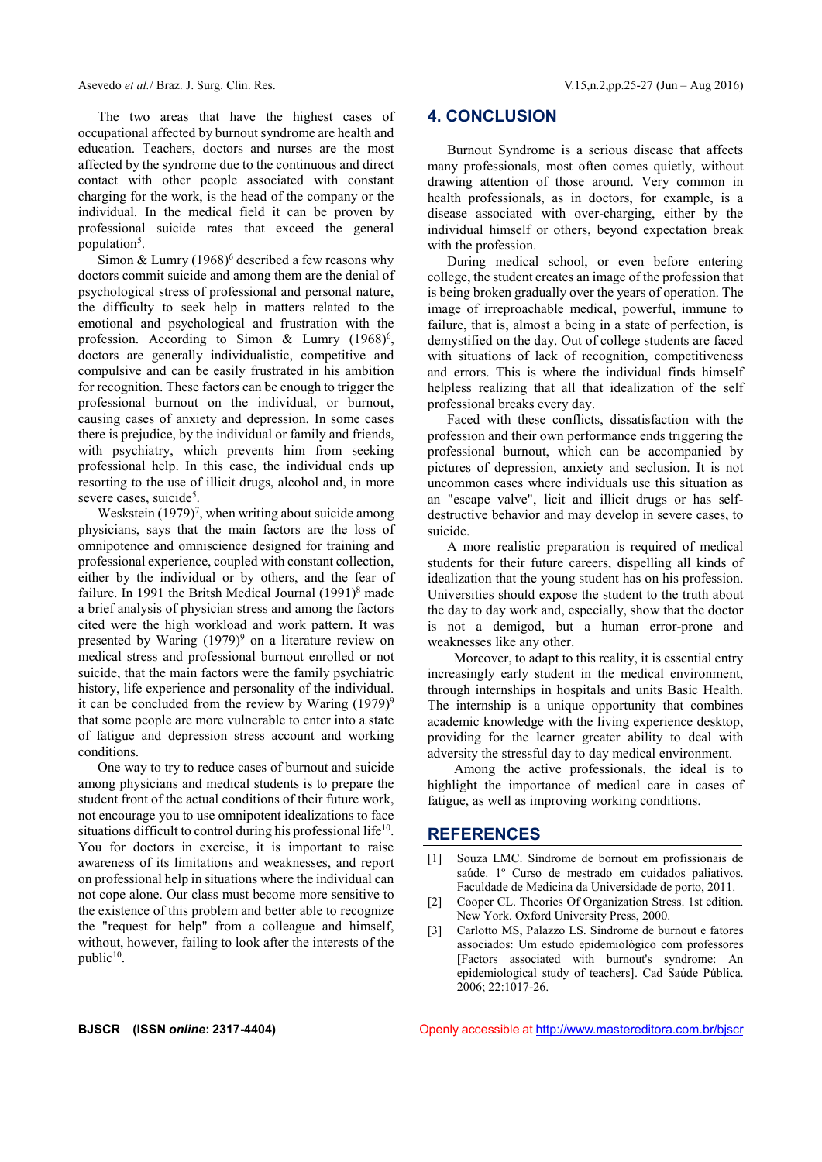The two areas that have the highest cases of occupational affected by burnout syndrome are health and education. Teachers, doctors and nurses are the most affected by the syndrome due to the continuous and direct contact with other people associated with constant charging for the work, is the head of the company or the individual. In the medical field it can be proven by professional suicide rates that exceed the general population<sup>5</sup>.

Simon & Lumry  $(1968)^6$  described a few reasons why doctors commit suicide and among them are the denial of psychological stress of professional and personal nature, the difficulty to seek help in matters related to the emotional and psychological and frustration with the profession. According to Simon & Lumry (1968)<sup>6</sup>, doctors are generally individualistic, competitive and compulsive and can be easily frustrated in his ambition for recognition. These factors can be enough to trigger the professional burnout on the individual, or burnout, causing cases of anxiety and depression. In some cases there is prejudice, by the individual or family and friends, with psychiatry, which prevents him from seeking professional help. In this case, the individual ends up resorting to the use of illicit drugs, alcohol and, in more severe cases, suicide<sup>5</sup>.

Weskstein  $(1979)^7$ , when writing about suicide among des physicians, says that the main factors are the loss of omnipotence and omniscience designed for training and professional experience, coupled with constant collection, either by the individual or by others, and the fear of failure. In 1991 the Britsh Medical Journal (1991)<sup>8</sup> made a brief analysis of physician stress and among the factors cited were the high workload and work pattern. It was presented by Waring  $(1979)^9$  on a literature review on medical stress and professional burnout enrolled or not suicide, that the main factors were the family psychiatric history, life experience and personality of the individual. it can be concluded from the review by Waring  $(1979)^9$ that some people are more vulnerable to enter into a state of fatigue and depression stress account and working conditions.

One way to try to reduce cases of burnout and suicide among physicians and medical students is to prepare the student front of the actual conditions of their future work, not encourage you to use omnipotent idealizations to face situations difficult to control during his professional life<sup>10</sup>. You for doctors in exercise, it is important to raise awareness of its limitations and weaknesses, and report on professional help in situations where the individual can not cope alone. Our class must become more sensitive to [2] the existence of this problem and better able to recognize the "request for help" from a colleague and himself, without, however, failing to look after the interests of the public<sup>10</sup>.

#### **4. CONCLUSION**

Burnout Syndrome is a serious disease that affects many professionals, most often comes quietly, without drawing attention of those around. Very common in health professionals, as in doctors, for example, is a disease associated with over-charging, either by the individual himself or others, beyond expectation break with the profession.

During medical school, or even before entering college, the student creates an image of the profession that is being broken gradually over the years of operation. The image of irreproachable medical, powerful, immune to failure, that is, almost a being in a state of perfection, is demystified on the day. Out of college students are faced with situations of lack of recognition, competitiveness and errors. This is where the individual finds himself helpless realizing that all that idealization of the self professional breaks every day.

Faced with these conflicts, dissatisfaction with the profession and their own performance ends triggering the professional burnout, which can be accompanied by pictures of depression, anxiety and seclusion. It is not uncommon cases where individuals use this situation as an "escape valve", licit and illicit drugs or has self destructive behavior and may develop in severe cases, to suicide.

A more realistic preparation is required of medical students for their future careers, dispelling all kinds of idealization that the young student has on his profession. Universities should expose the student to the truth about the day to day work and, especially, show that the doctor is not a demigod, but a human error-prone and weaknesses like any other.

Moreover, to adapt to this reality, it is essential entry increasingly early student in the medical environment, through internships in hospitals and units Basic Health. The internship is a unique opportunity that combines academic knowledge with the living experience desktop, providing for the learner greater ability to deal with adversity the stressful day to day medical environment.

Among the active professionals, the ideal is to highlight the importance of medical care in cases of fatigue, as well as improving working conditions.

#### **REFERENCES**

- [1] Souza LMC. Síndrome de bornout em profissionais de saúde. 1º Curso de mestrado em cuidados paliativos. Faculdade de Medicina da Universidade de porto, 2011.
- Cooper CL. Theories Of Organization Stress. 1st edition. New York. Oxford University Press, 2000.
- [3] Carlotto MS, Palazzo LS. Sindrome de burnout e fatores associados: Um estudo epidemiológico com professores [Factors associated with burnout's syndrome: An epidemiological study of teachers]. Cad Saúde Pública. 2006; 22:1017-26.